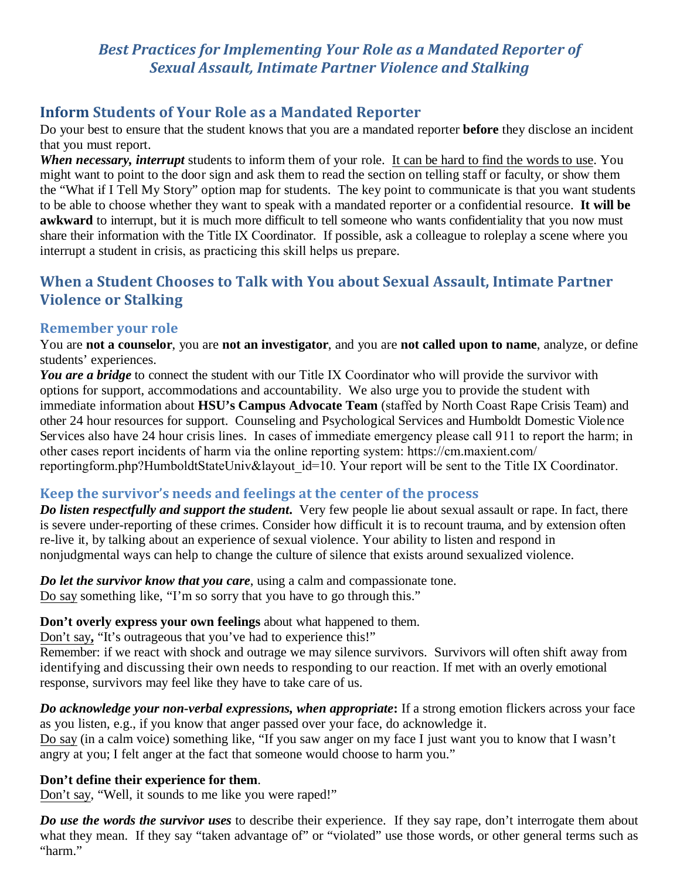## *Best Practices for Implementing Your Role as a Mandated Reporter of Sexual Assault, Intimate Partner Violence and Stalking*

## **Inform Students of Your Role as a Mandated Reporter**

Do your best to ensure that the student knows that you are a mandated reporter **before** they disclose an incident that you must report.

*When necessary, interrupt* students to inform them of your role. It can be hard to find the words to use. You might want to point to the door sign and ask them to read the section on telling staff or faculty, or show them the "What if I Tell My Story" option map for students. The key point to communicate is that you want students to be able to choose whether they want to speak with a mandated reporter or a confidential resource. **It will be awkward** to interrupt, but it is much more difficult to tell someone who wants confidentiality that you now must share their information with the Title IX Coordinator. If possible, ask a colleague to roleplay a scene where you interrupt a student in crisis, as practicing this skill helps us prepare.

# **When a Student Chooses to Talk with You about Sexual Assault, Intimate Partner Violence or Stalking**

### **Remember your role**

You are **not a counselor**, you are **not an investigator**, and you are **not called upon to name**, analyze, or define students' experiences.

You are a bridge to connect the student with our Title IX Coordinator who will provide the survivor with options for support, accommodations and accountability. We also urge you to provide the student with immediate information about **HSU's Campus Advocate Team** (staffed by North Coast Rape Crisis Team) and other 24 hour resources for support. Counseling and Psychological Services and Humboldt Domestic Violence Services also have 24 hour crisis lines. In cases of immediate emergency please call 911 to report the harm; in other cases report incidents of harm via the online reporting system: https://cm.maxient.com/ reportingform.php?HumboldtStateUniv&layout id=10. Your report will be sent to the Title IX Coordinator.

### **Keep the survivor's needs and feelings at the center of the process**

*Do listen respectfully and support the student***.** Very few people lie about sexual assault or rape. In fact, there is severe under-reporting of these crimes. Consider how difficult it is to recount trauma, and by extension often re-live it, by talking about an experience of sexual violence. Your ability to listen and respond in nonjudgmental ways can help to change the culture of silence that exists around sexualized violence.

*Do let the survivor know that you care*, using a calm and compassionate tone. Do say something like, "I'm so sorry that you have to go through this."

**Don't overly express your own feelings** about what happened to them.

Don't say**,** "It's outrageous that you've had to experience this!"

Remember: if we react with shock and outrage we may silence survivors. Survivors will often shift away from identifying and discussing their own needs to responding to our reaction. If met with an overly emotional response, survivors may feel like they have to take care of us.

*Do acknowledge your non-verbal expressions, when appropriate***:** If a strong emotion flickers across your face as you listen, e.g., if you know that anger passed over your face, do acknowledge it. Do say (in a calm voice) something like, "If you saw anger on my face I just want you to know that I wasn't angry at you; I felt anger at the fact that someone would choose to harm you."

#### **Don't define their experience for them**.

Don't say, "Well, it sounds to me like you were raped!"

*Do use the words the survivor uses* to describe their experience. If they say rape, don't interrogate them about what they mean. If they say "taken advantage of" or "violated" use those words, or other general terms such as "harm."